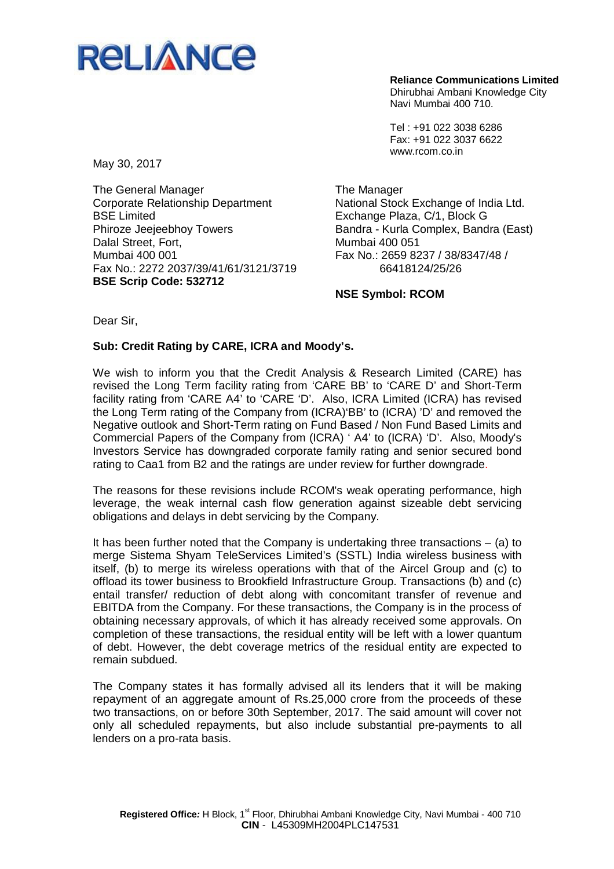

**Reliance Communications Limited** Dhirubhai Ambani Knowledge City Navi Mumbai 400 710.

Tel : +91 022 3038 6286 Fax: +91 022 3037 6622 www.rcom.co.in

May 30, 2017

The General Manager Corporate Relationship Department BSE Limited Phiroze Jeejeebhoy Towers Dalal Street, Fort, Mumbai 400 001 Fax No.: 2272 2037/39/41/61/3121/3719 **BSE Scrip Code: 532712**

The Manager National Stock Exchange of India Ltd. Exchange Plaza, C/1, Block G Bandra - Kurla Complex, Bandra (East) Mumbai 400 051 Fax No.: 2659 8237 / 38/8347/48 / 66418124/25/26

**NSE Symbol: RCOM**

Dear Sir,

## **Sub: Credit Rating by CARE, ICRA and Moody's.**

We wish to inform you that the Credit Analysis & Research Limited (CARE) has revised the Long Term facility rating from 'CARE BB' to 'CARE D' and Short-Term facility rating from 'CARE A4' to 'CARE 'D'. Also, ICRA Limited (ICRA) has revised the Long Term rating of the Company from (ICRA)'BB' to (ICRA) 'D' and removed the Negative outlook and Short-Term rating on Fund Based / Non Fund Based Limits and Commercial Papers of the Company from (ICRA) ' A4' to (ICRA) 'D'. Also, Moody's Investors Service has downgraded corporate family rating and senior secured bond rating to Caa1 from B2 and the ratings are under review for further downgrade.

The reasons for these revisions include RCOM's weak operating performance, high leverage, the weak internal cash flow generation against sizeable debt servicing obligations and delays in debt servicing by the Company.

It has been further noted that the Company is undertaking three transactions  $-$  (a) to merge Sistema Shyam TeleServices Limited's (SSTL) India wireless business with itself, (b) to merge its wireless operations with that of the Aircel Group and (c) to offload its tower business to Brookfield Infrastructure Group. Transactions (b) and (c) entail transfer/ reduction of debt along with concomitant transfer of revenue and EBITDA from the Company. For these transactions, the Company is in the process of obtaining necessary approvals, of which it has already received some approvals. On completion of these transactions, the residual entity will be left with a lower quantum of debt. However, the debt coverage metrics of the residual entity are expected to remain subdued.

The Company states it has formally advised all its lenders that it will be making repayment of an aggregate amount of Rs.25,000 crore from the proceeds of these two transactions, on or before 30th September, 2017. The said amount will cover not only all scheduled repayments, but also include substantial pre-payments to all lenders on a pro-rata basis.